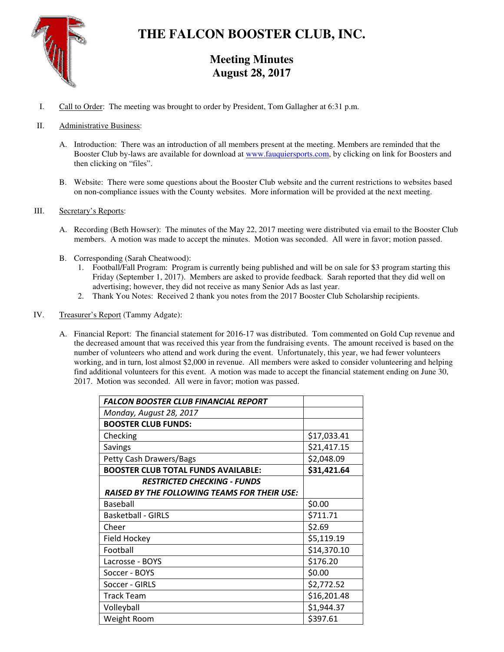

# **THE FALCON BOOSTER CLUB, INC.**

# **Meeting Minutes August 28, 2017**

I. Call to Order: The meeting was brought to order by President, Tom Gallagher at 6:31 p.m.

## II. Administrative Business:

- A. Introduction: There was an introduction of all members present at the meeting. Members are reminded that the Booster Club by-laws are available for download at www.fauquiersports.com, by clicking on link for Boosters and then clicking on "files".
- B. Website: There were some questions about the Booster Club website and the current restrictions to websites based on non-compliance issues with the County websites. More information will be provided at the next meeting.

#### III. Secretary's Reports:

- A. Recording (Beth Howser): The minutes of the May 22, 2017 meeting were distributed via email to the Booster Club members. A motion was made to accept the minutes. Motion was seconded. All were in favor; motion passed.
- B. Corresponding (Sarah Cheatwood):
	- 1. Football/Fall Program: Program is currently being published and will be on sale for \$3 program starting this Friday (September 1, 2017). Members are asked to provide feedback. Sarah reported that they did well on advertising; however, they did not receive as many Senior Ads as last year.
	- 2. Thank You Notes: Received 2 thank you notes from the 2017 Booster Club Scholarship recipients.
- IV. Treasurer's Report (Tammy Adgate):
	- A. Financial Report: The financial statement for 2016-17 was distributed. Tom commented on Gold Cup revenue and the decreased amount that was received this year from the fundraising events. The amount received is based on the number of volunteers who attend and work during the event. Unfortunately, this year, we had fewer volunteers working, and in turn, lost almost \$2,000 in revenue. All members were asked to consider volunteering and helping find additional volunteers for this event. A motion was made to accept the financial statement ending on June 30, 2017. Motion was seconded. All were in favor; motion was passed.

| <b>FALCON BOOSTER CLUB FINANCIAL REPORT</b>         |             |
|-----------------------------------------------------|-------------|
| Monday, August 28, 2017                             |             |
| <b>BOOSTER CLUB FUNDS:</b>                          |             |
| Checking                                            | \$17,033.41 |
| Savings                                             | \$21,417.15 |
| <b>Petty Cash Drawers/Bags</b>                      | \$2,048.09  |
| <b>BOOSTER CLUB TOTAL FUNDS AVAILABLE:</b>          | \$31,421.64 |
| RESTRICTED CHECKING - FUNDS                         |             |
| <b>RAISED BY THE FOLLOWING TEAMS FOR THEIR USE:</b> |             |
| Baseball                                            | \$0.00      |
| <b>Basketball - GIRLS</b>                           | \$711.71    |
| Cheer                                               | \$2.69      |
| Field Hockey                                        | \$5,119.19  |
| Football                                            | \$14,370.10 |
| Lacrosse - BOYS                                     | \$176.20    |
| Soccer - BOYS                                       | \$0.00      |
| Soccer - GIRLS                                      | \$2,772.52  |
| <b>Track Team</b>                                   | \$16,201.48 |
| Volleyball                                          | \$1,944.37  |
| Weight Room                                         | \$397.61    |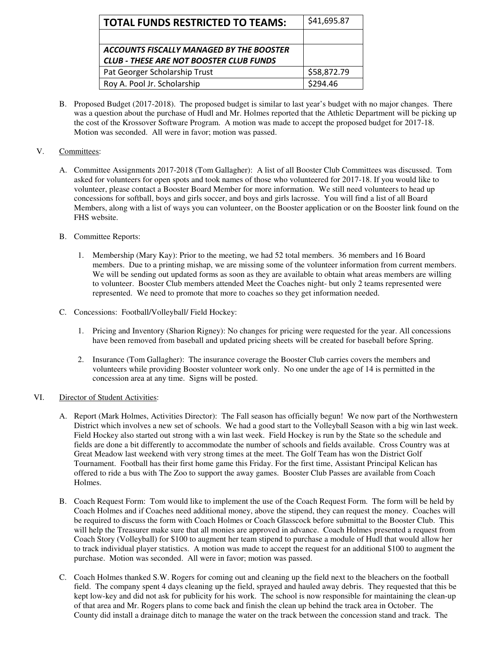| <b>TOTAL FUNDS RESTRICTED TO TEAMS:</b>        | \$41,695.87 |
|------------------------------------------------|-------------|
|                                                |             |
| ACCOUNTS FISCALLY MANAGED BY THE BOOSTER       |             |
| <b>CLUB - THESE ARE NOT BOOSTER CLUB FUNDS</b> |             |
| Pat Georger Scholarship Trust                  | \$58,872.79 |
| Roy A. Pool Jr. Scholarship                    | \$294.46    |

B. Proposed Budget (2017-2018). The proposed budget is similar to last year's budget with no major changes. There was a question about the purchase of Hudl and Mr. Holmes reported that the Athletic Department will be picking up the cost of the Krossover Software Program. A motion was made to accept the proposed budget for 2017-18. Motion was seconded. All were in favor; motion was passed.

## V. Committees:

- A. Committee Assignments 2017-2018 (Tom Gallagher): A list of all Booster Club Committees was discussed. Tom asked for volunteers for open spots and took names of those who volunteered for 2017-18. If you would like to volunteer, please contact a Booster Board Member for more information. We still need volunteers to head up concessions for softball, boys and girls soccer, and boys and girls lacrosse. You will find a list of all Board Members, along with a list of ways you can volunteer, on the Booster application or on the Booster link found on the FHS website.
- B. Committee Reports:
	- 1. Membership (Mary Kay): Prior to the meeting, we had 52 total members. 36 members and 16 Board members. Due to a printing mishap, we are missing some of the volunteer information from current members. We will be sending out updated forms as soon as they are available to obtain what areas members are willing to volunteer. Booster Club members attended Meet the Coaches night- but only 2 teams represented were represented. We need to promote that more to coaches so they get information needed.
- C. Concessions: Football/Volleyball/ Field Hockey:
	- 1. Pricing and Inventory (Sharion Rigney): No changes for pricing were requested for the year. All concessions have been removed from baseball and updated pricing sheets will be created for baseball before Spring.
	- 2. Insurance (Tom Gallagher): The insurance coverage the Booster Club carries covers the members and volunteers while providing Booster volunteer work only. No one under the age of 14 is permitted in the concession area at any time. Signs will be posted.

#### VI. Director of Student Activities:

- A. Report (Mark Holmes, Activities Director): The Fall season has officially begun! We now part of the Northwestern District which involves a new set of schools. We had a good start to the Volleyball Season with a big win last week. Field Hockey also started out strong with a win last week. Field Hockey is run by the State so the schedule and fields are done a bit differently to accommodate the number of schools and fields available. Cross Country was at Great Meadow last weekend with very strong times at the meet. The Golf Team has won the District Golf Tournament. Football has their first home game this Friday. For the first time, Assistant Principal Kelican has offered to ride a bus with The Zoo to support the away games. Booster Club Passes are available from Coach Holmes.
- B. Coach Request Form: Tom would like to implement the use of the Coach Request Form. The form will be held by Coach Holmes and if Coaches need additional money, above the stipend, they can request the money. Coaches will be required to discuss the form with Coach Holmes or Coach Glasscock before submittal to the Booster Club. This will help the Treasurer make sure that all monies are approved in advance. Coach Holmes presented a request from Coach Story (Volleyball) for \$100 to augment her team stipend to purchase a module of Hudl that would allow her to track individual player statistics. A motion was made to accept the request for an additional \$100 to augment the purchase. Motion was seconded. All were in favor; motion was passed.
- C. Coach Holmes thanked S.W. Rogers for coming out and cleaning up the field next to the bleachers on the football field. The company spent 4 days cleaning up the field, sprayed and hauled away debris. They requested that this be kept low-key and did not ask for publicity for his work. The school is now responsible for maintaining the clean-up of that area and Mr. Rogers plans to come back and finish the clean up behind the track area in October. The County did install a drainage ditch to manage the water on the track between the concession stand and track. The